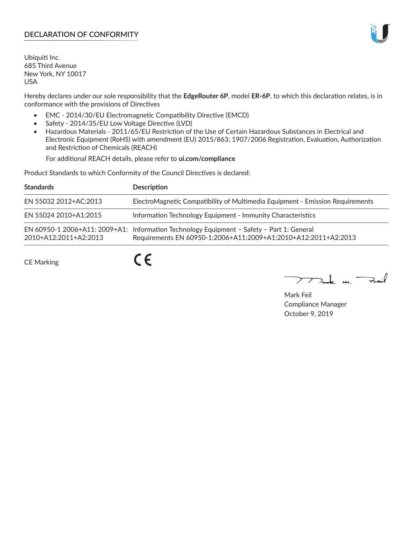## **DECLARATION OF CONFORMITY**

Ubiquiti Inc. 685 Third Avenue New York, NY 10017 USA

Hereby declares under our sole responsibility that the **EdgeRouter 6P**, model **ER-6P**, to which this declaration relates, is in conformance with the provisions of Directives

- EMC 2014/30/EU Electromagnetic Compatibility Directive (EMCD)
- Safety 2014/35/EU Low Voltage Directive (LVD)
- Hazardous Materials 2011/65/EU Restriction of the Use of Certain Hazardous Substances in Electrical and Electronic Equipment (RoHS) with amendment (EU) 2015/863; 1907/2006 Registration, Evaluation, Authorization and Restriction of Chemicals (REACH)

For additional REACH details, please refer to **ui.com/compliance**

Product Standards to which Conformity of the Council Directives is declared:

| <b>Standards</b>        | <b>Description</b>                                                                                                                                          |
|-------------------------|-------------------------------------------------------------------------------------------------------------------------------------------------------------|
| EN 55032 2012+AC:2013   | ElectroMagnetic Compatibility of Multimedia Equipment - Emission Requirements                                                                               |
| EN 55024 2010+A1:2015   | Information Technology Equipment - Immunity Characteristics                                                                                                 |
| $2010+A12:2011+A2:2013$ | EN 60950-1 2006+A11: 2009+A1: Information Technology Equipment - Safety - Part 1: General<br>Requirements EN 60950-1:2006+A11:2009+A1:2010+A12:2011+A2:2013 |

CE Marking

 $C \in$ 

 $\nabla$ ak m $\nabla$ 

Mark Feil Compliance Manager October 9, 2019

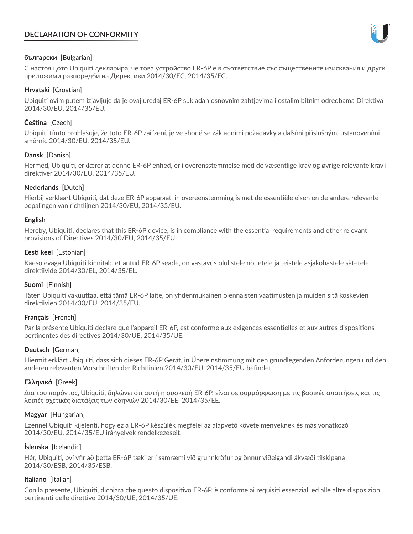# **DECLARATION OF CONFORMITY**



#### **български** [Bulgarian]

С настоящото Ubiquiti декларира, че това устройство ER-6P е в съответствие със съществените изисквания и други приложими разпоредби на Директиви 2014/30/ЕС, 2014/35/ЕС.

## **Hrvatski** [Croatian]

Ubiquiti ovim putem izjavljuje da je ovaj uređaj ER-6P sukladan osnovnim zahtjevima i ostalim bitnim odredbama Direktiva 2014/30/EU, 2014/35/EU.

# **Čeština** [Czech]

Ubiquiti tímto prohlašuje, že toto ER-6P zařízení, je ve shodě se základními požadavky a dalšími příslušnými ustanoveními směrnic 2014/30/EU, 2014/35/EU.

## **Dansk** [Danish]

Hermed, Ubiquiti, erklærer at denne ER-6P enhed, er i overensstemmelse med de væsentlige krav og øvrige relevante krav i direktiver 2014/30/EU, 2014/35/EU.

## **Nederlands** [Dutch]

Hierbij verklaart Ubiquiti, dat deze ER-6P apparaat, in overeenstemming is met de essentiële eisen en de andere relevante bepalingen van richtlijnen 2014/30/EU, 2014/35/EU.

#### **English**

Hereby, Ubiquiti, declares that this ER-6P device, is in compliance with the essential requirements and other relevant provisions of Directives 2014/30/EU, 2014/35/EU.

## **Eesti keel** [Estonian]

Käesolevaga Ubiquiti kinnitab, et antud ER-6P seade, on vastavus olulistele nõuetele ja teistele asjakohastele sätetele direktiivide 2014/30/EL, 2014/35/EL.

#### **Suomi** [Finnish]

Täten Ubiquiti vakuuttaa, että tämä ER-6P laite, on yhdenmukainen olennaisten vaatimusten ja muiden sitä koskevien direktiivien 2014/30/EU, 2014/35/EU.

## **Français** [French]

Par la présente Ubiquiti déclare que l'appareil ER-6P, est conforme aux exigences essentielles et aux autres dispositions pertinentes des directives 2014/30/UE, 2014/35/UE.

## **Deutsch** [German]

Hiermit erklärt Ubiquiti, dass sich dieses ER-6P Gerät, in Übereinstimmung mit den grundlegenden Anforderungen und den anderen relevanten Vorschriften der Richtlinien 2014/30/EU, 2014/35/EU befindet.

#### **Ελληνικά** [Greek]

Δια του παρόντος, Ubiquiti, δηλώνει ότι αυτή η συσκευή ER-6P, είναι σε συμμόρφωση με τις βασικές απαιτήσεις και τις λοιπές σχετικές διατάξεις των οδηγιών 2014/30/EE, 2014/35/EE.

#### **Magyar** [Hungarian]

Ezennel Ubiquiti kijelenti, hogy ez a ER-6P készülék megfelel az alapvető követelményeknek és más vonatkozó 2014/30/EU, 2014/35/EU irányelvek rendelkezéseit.

#### **Íslenska** [Icelandic]

Hér, Ubiquiti, því yfir að þetta ER-6P tæki er í samræmi við grunnkröfur og önnur viðeigandi ákvæði tilskipana 2014/30/ESB, 2014/35/ESB.

#### **Italiano** [Italian]

Con la presente, Ubiquiti, dichiara che questo dispositivo ER-6P, è conforme ai requisiti essenziali ed alle altre disposizioni pertinenti delle direttive 2014/30/UE, 2014/35/UE.